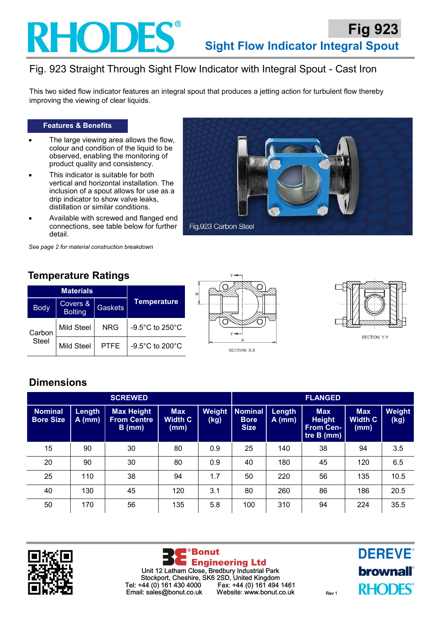

## Fig. 923 Straight Through Sight Flow Indicator with Integral Spout - Cast Iron

This two sided flow indicator features an integral spout that produces a jetting action for turbulent flow thereby improving the viewing of clear liquids.

#### **Features & Benefits**

- The large viewing area allows the flow, colour and condition of the liquid to be observed, enabling the monitoring of product quality and consistency.
- This indicator is suitable for both vertical and horizontal installation. The inclusion of a spout allows for use as a drip indicator to show valve leaks, distillation or similar conditions.
- Available with screwed and flanged end connections, see table below for further detail.



*See page 2 for material construction breakdown*

## **Temperature Ratings**

|                        | <b>Materials</b>           |                |                    |  |  |
|------------------------|----------------------------|----------------|--------------------|--|--|
| <b>Body</b>            | Covers &<br><b>Bolting</b> | <b>Gaskets</b> | <b>Temperature</b> |  |  |
| Carbon<br><b>Steel</b> | Mild Steel                 | <b>NRG</b>     | -9.5°C to 250°C    |  |  |
|                        | Mild Steel                 | <b>PTFE</b>    | -9.5°C to 200°C    |  |  |





SECTION Y-Y

## **Dimensions**

| <b>SCREWED</b>                     |                    |                                                     |                                      |                | <b>FLANGED</b>                               |                    |                                                               |                                      |                |
|------------------------------------|--------------------|-----------------------------------------------------|--------------------------------------|----------------|----------------------------------------------|--------------------|---------------------------------------------------------------|--------------------------------------|----------------|
| <b>Nominal</b><br><b>Bore Size</b> | Length<br>$A$ (mm) | <b>Max Height</b><br><b>From Centre</b><br>$B$ (mm) | <b>Max</b><br><b>Width C</b><br>(mm) | Weight<br>(kg) | <b>Nominal</b><br><b>Bore</b><br><b>Size</b> | Length<br>$A$ (mm) | <b>Max</b><br><b>Height</b><br><b>From Cen-</b><br>tre B (mm) | <b>Max</b><br><b>Width C</b><br>(mm) | Weight<br>(kg) |
| 15                                 | 90                 | 30                                                  | 80                                   | 0.9            | 25                                           | 140                | 38                                                            | 94                                   | 3.5            |
| 20                                 | 90                 | 30                                                  | 80                                   | 0.9            | 40                                           | 180                | 45                                                            | 120                                  | 6.5            |
| 25                                 | 110                | 38                                                  | 94                                   | 1.7            | 50                                           | 220                | 56                                                            | 135                                  | 10.5           |
| 40                                 | 130                | 45                                                  | 120                                  | 3.1            | 80                                           | 260                | 86                                                            | 186                                  | 20.5           |
| 50                                 | 170                | 56                                                  | 135                                  | 5.8            | 100                                          | 310                | 94                                                            | 224                                  | 35.5           |